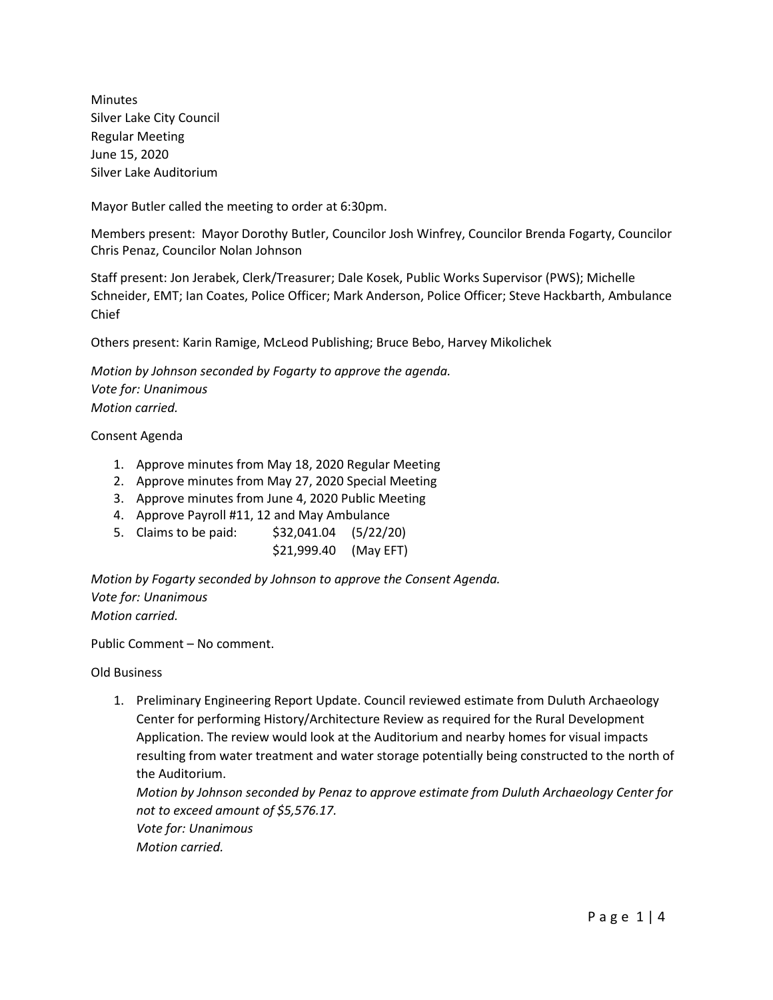Minutes Silver Lake City Council Regular Meeting June 15, 2020 Silver Lake Auditorium

Mayor Butler called the meeting to order at 6:30pm.

Members present: Mayor Dorothy Butler, Councilor Josh Winfrey, Councilor Brenda Fogarty, Councilor Chris Penaz, Councilor Nolan Johnson

Staff present: Jon Jerabek, Clerk/Treasurer; Dale Kosek, Public Works Supervisor (PWS); Michelle Schneider, EMT; Ian Coates, Police Officer; Mark Anderson, Police Officer; Steve Hackbarth, Ambulance Chief

Others present: Karin Ramige, McLeod Publishing; Bruce Bebo, Harvey Mikolichek

*Motion by Johnson seconded by Fogarty to approve the agenda. Vote for: Unanimous Motion carried.*

## Consent Agenda

- 1. Approve minutes from May 18, 2020 Regular Meeting
- 2. Approve minutes from May 27, 2020 Special Meeting
- 3. Approve minutes from June 4, 2020 Public Meeting
- 4. Approve Payroll #11, 12 and May Ambulance
- 5. Claims to be paid: \$32,041.04 (5/22/20)
	- \$21,999.40 (May EFT)

*Motion by Fogarty seconded by Johnson to approve the Consent Agenda. Vote for: Unanimous Motion carried.*

Public Comment – No comment.

Old Business

1. Preliminary Engineering Report Update. Council reviewed estimate from Duluth Archaeology Center for performing History/Architecture Review as required for the Rural Development Application. The review would look at the Auditorium and nearby homes for visual impacts resulting from water treatment and water storage potentially being constructed to the north of the Auditorium.

*Motion by Johnson seconded by Penaz to approve estimate from Duluth Archaeology Center for not to exceed amount of \$5,576.17. Vote for: Unanimous Motion carried.*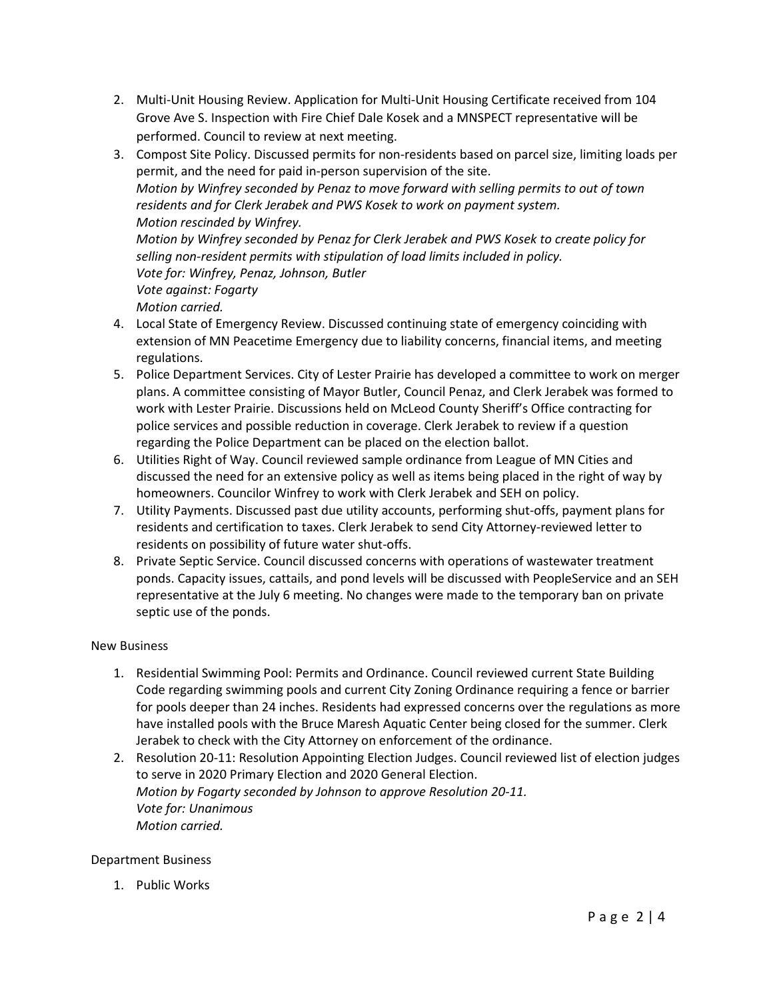- 2. Multi-Unit Housing Review. Application for Multi-Unit Housing Certificate received from 104 Grove Ave S. Inspection with Fire Chief Dale Kosek and a MNSPECT representative will be performed. Council to review at next meeting.
- 3. Compost Site Policy. Discussed permits for non-residents based on parcel size, limiting loads per permit, and the need for paid in-person supervision of the site. *Motion by Winfrey seconded by Penaz to move forward with selling permits to out of town residents and for Clerk Jerabek and PWS Kosek to work on payment system. Motion rescinded by Winfrey. Motion by Winfrey seconded by Penaz for Clerk Jerabek and PWS Kosek to create policy for selling non-resident permits with stipulation of load limits included in policy. Vote for: Winfrey, Penaz, Johnson, Butler Vote against: Fogarty Motion carried.*
- 4. Local State of Emergency Review. Discussed continuing state of emergency coinciding with extension of MN Peacetime Emergency due to liability concerns, financial items, and meeting regulations.
- 5. Police Department Services. City of Lester Prairie has developed a committee to work on merger plans. A committee consisting of Mayor Butler, Council Penaz, and Clerk Jerabek was formed to work with Lester Prairie. Discussions held on McLeod County Sheriff's Office contracting for police services and possible reduction in coverage. Clerk Jerabek to review if a question regarding the Police Department can be placed on the election ballot.
- 6. Utilities Right of Way. Council reviewed sample ordinance from League of MN Cities and discussed the need for an extensive policy as well as items being placed in the right of way by homeowners. Councilor Winfrey to work with Clerk Jerabek and SEH on policy.
- 7. Utility Payments. Discussed past due utility accounts, performing shut-offs, payment plans for residents and certification to taxes. Clerk Jerabek to send City Attorney-reviewed letter to residents on possibility of future water shut-offs.
- 8. Private Septic Service. Council discussed concerns with operations of wastewater treatment ponds. Capacity issues, cattails, and pond levels will be discussed with PeopleService and an SEH representative at the July 6 meeting. No changes were made to the temporary ban on private septic use of the ponds.

## New Business

- 1. Residential Swimming Pool: Permits and Ordinance. Council reviewed current State Building Code regarding swimming pools and current City Zoning Ordinance requiring a fence or barrier for pools deeper than 24 inches. Residents had expressed concerns over the regulations as more have installed pools with the Bruce Maresh Aquatic Center being closed for the summer. Clerk Jerabek to check with the City Attorney on enforcement of the ordinance.
- 2. Resolution 20-11: Resolution Appointing Election Judges. Council reviewed list of election judges to serve in 2020 Primary Election and 2020 General Election. *Motion by Fogarty seconded by Johnson to approve Resolution 20-11. Vote for: Unanimous Motion carried.*

## Department Business

1. Public Works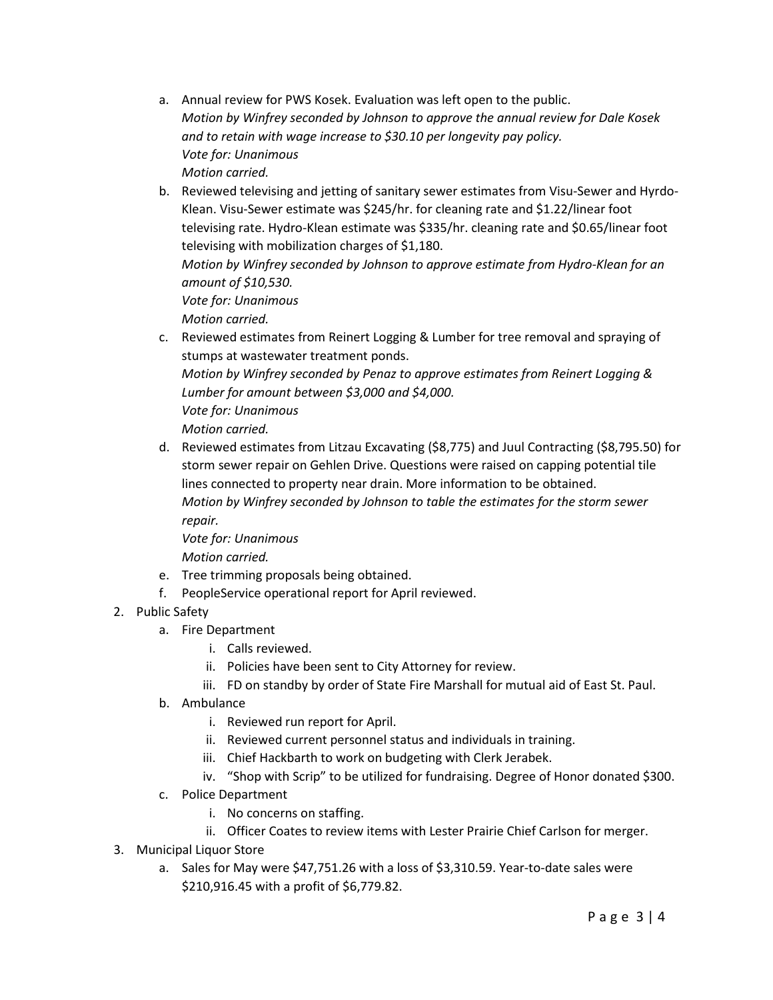- a. Annual review for PWS Kosek. Evaluation was left open to the public. *Motion by Winfrey seconded by Johnson to approve the annual review for Dale Kosek and to retain with wage increase to \$30.10 per longevity pay policy. Vote for: Unanimous Motion carried.*
- b. Reviewed televising and jetting of sanitary sewer estimates from Visu-Sewer and Hyrdo-Klean. Visu-Sewer estimate was \$245/hr. for cleaning rate and \$1.22/linear foot televising rate. Hydro-Klean estimate was \$335/hr. cleaning rate and \$0.65/linear foot televising with mobilization charges of \$1,180. *Motion by Winfrey seconded by Johnson to approve estimate from Hydro-Klean for an amount of \$10,530. Vote for: Unanimous Motion carried.*
- c. Reviewed estimates from Reinert Logging & Lumber for tree removal and spraying of stumps at wastewater treatment ponds. *Motion by Winfrey seconded by Penaz to approve estimates from Reinert Logging & Lumber for amount between \$3,000 and \$4,000. Vote for: Unanimous*

*Motion carried.*

d. Reviewed estimates from Litzau Excavating (\$8,775) and Juul Contracting (\$8,795.50) for storm sewer repair on Gehlen Drive. Questions were raised on capping potential tile lines connected to property near drain. More information to be obtained. *Motion by Winfrey seconded by Johnson to table the estimates for the storm sewer repair.*

*Vote for: Unanimous Motion carried.*

- e. Tree trimming proposals being obtained.
- f. PeopleService operational report for April reviewed.
- 2. Public Safety
	- a. Fire Department
		- i. Calls reviewed.
		- ii. Policies have been sent to City Attorney for review.
		- iii. FD on standby by order of State Fire Marshall for mutual aid of East St. Paul.
	- b. Ambulance
		- i. Reviewed run report for April.
		- ii. Reviewed current personnel status and individuals in training.
		- iii. Chief Hackbarth to work on budgeting with Clerk Jerabek.
		- iv. "Shop with Scrip" to be utilized for fundraising. Degree of Honor donated \$300.
	- c. Police Department
		- i. No concerns on staffing.
		- ii. Officer Coates to review items with Lester Prairie Chief Carlson for merger.
- 3. Municipal Liquor Store
	- a. Sales for May were \$47,751.26 with a loss of \$3,310.59. Year-to-date sales were \$210,916.45 with a profit of \$6,779.82.